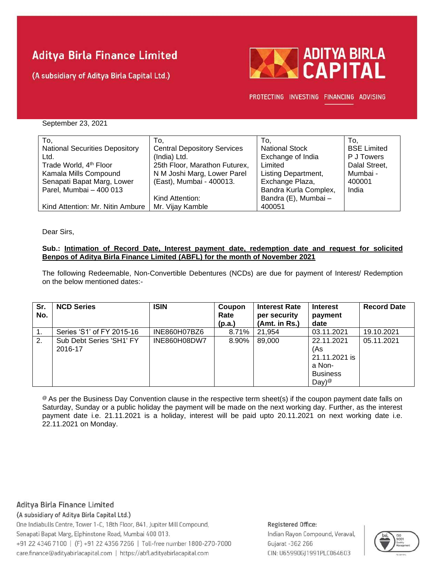# **Aditya Birla Finance Limited**

(A subsidiary of Aditya Birla Capital Ltd.)



PROTECTING INVESTING FINANCING ADVISING

September 23, 2021

| To,                                   | To.                                | To.                   | To.                |
|---------------------------------------|------------------------------------|-----------------------|--------------------|
| <b>National Securities Depository</b> | <b>Central Depository Services</b> | <b>National Stock</b> | <b>BSE Limited</b> |
| Ltd.                                  | (India) Ltd.                       | Exchange of India     | P J Towers         |
| Trade World, 4 <sup>th</sup> Floor    | 25th Floor, Marathon Futurex,      | Limited               | Dalal Street,      |
| Kamala Mills Compound                 | N M Joshi Marg, Lower Parel        | Listing Department,   | Mumbai -           |
| Senapati Bapat Marg, Lower            | (East), Mumbai - 400013.           | Exchange Plaza,       | 400001             |
| Parel, Mumbai - 400 013               |                                    | Bandra Kurla Complex, | India              |
|                                       | Kind Attention:                    | Bandra (E), Mumbai -  |                    |
| Kind Attention: Mr. Nitin Ambure      | Mr. Vijay Kamble                   | 400051                |                    |

Dear Sirs,

### **Sub.: Intimation of Record Date, Interest payment date, redemption date and request for solicited Benpos of Aditya Birla Finance Limited (ABFL) for the month of November 2021**

The following Redeemable, Non-Convertible Debentures (NCDs) are due for payment of Interest/ Redemption on the below mentioned dates:-

| Sr.<br>No. | <b>NCD Series</b>                   | <b>ISIN</b>  | Coupon<br>Rate<br>(p.a.) | <b>Interest Rate</b><br>per security<br>(Amt. in Rs.) | <b>Interest</b><br>payment<br>date                                                   | <b>Record Date</b> |
|------------|-------------------------------------|--------------|--------------------------|-------------------------------------------------------|--------------------------------------------------------------------------------------|--------------------|
| ι.         | Series 'S1' of FY 2015-16           | INE860H07BZ6 | 8.71%                    | 21.954                                                | 03.11.2021                                                                           | 19.10.2021         |
| 2.         | Sub Debt Series 'SH1' FY<br>2016-17 | INE860H08DW7 | 8.90%                    | 89,000                                                | 22.11.2021<br>(As<br>21.11.2021 is<br>a Non-<br><b>Business</b><br>Day) <sup>@</sup> | 05.11.2021         |

<sup>®</sup> As per the Business Day Convention clause in the respective term sheet(s) if the coupon payment date falls on Saturday, Sunday or a public holiday the payment will be made on the next working day. Further, as the interest payment date i.e. 21.11.2021 is a holiday, interest will be paid upto 20.11.2021 on next working date i.e. 22.11.2021 on Monday.

Aditya Birla Finance Limited

(A subsidiary of Aditya Birla Capital Ltd.)

One Indiabulls Centre, Tower 1-C, 18th Floor, 841, Jupiter Mill Compound, Senapati Bapat Marg, Elphinstone Road, Mumbai 400 013. +91 22 4346 7100 | (F) +91 22 4356 7266 | Toll-free number 1800-270-7000 care.finance@adityabirlacapital.com | https://abfl.adityabirlacapital.com

### Registered Office: Indian Rayon Compound, Veraval, Gujarat - 362 266 CIN: U65990GJ1991PLC064603